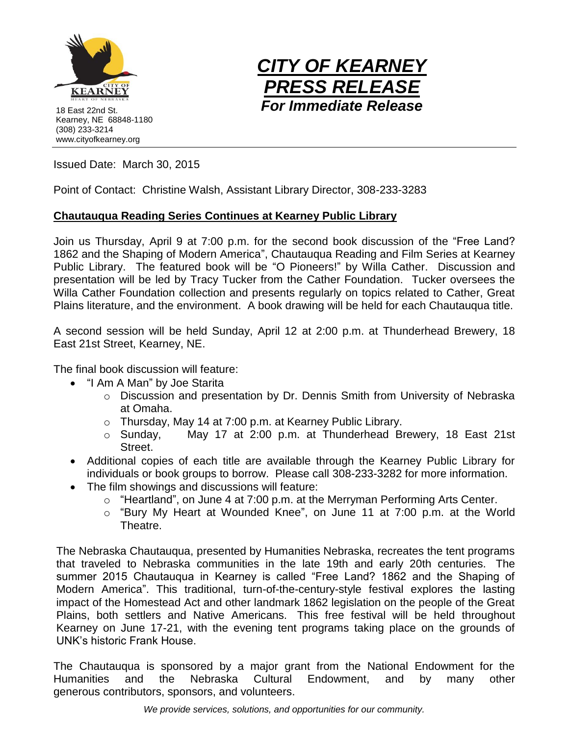

18 East 22nd St. Kearney, NE 68848-1180 (308) 233-3214 www.cityofkearney.org



Issued Date: March 30, 2015

Point of Contact: Christine Walsh, Assistant Library Director, 308-233-3283

## **Chautauqua Reading Series Continues at Kearney Public Library**

Join us Thursday, April 9 at 7:00 p.m. for the second book discussion of the "Free Land? 1862 and the Shaping of Modern America", Chautauqua Reading and Film Series at Kearney Public Library. The featured book will be "O Pioneers!" by Willa Cather. Discussion and presentation will be led by Tracy Tucker from the Cather Foundation. Tucker oversees the Willa Cather Foundation collection and presents regularly on topics related to Cather, Great Plains literature, and the environment. A book drawing will be held for each Chautauqua title.

A second session will be held Sunday, April 12 at 2:00 p.m. at Thunderhead Brewery, 18 East 21st Street, Kearney, NE.

The final book discussion will feature:

- "I Am A Man" by Joe Starita
	- o Discussion and presentation by Dr. Dennis Smith from University of Nebraska at Omaha.
	- o Thursday, May 14 at 7:00 p.m. at Kearney Public Library.
	- o Sunday, May 17 at 2:00 p.m. at Thunderhead Brewery, 18 East 21st Street.
- Additional copies of each title are available through the Kearney Public Library for individuals or book groups to borrow. Please call 308-233-3282 for more information.
- The film showings and discussions will feature:
	- o "Heartland", on June 4 at 7:00 p.m. at the Merryman Performing Arts Center.
	- o "Bury My Heart at Wounded Knee", on June 11 at 7:00 p.m. at the World Theatre.

The Nebraska Chautauqua, presented by Humanities Nebraska, recreates the tent programs that traveled to Nebraska communities in the late 19th and early 20th centuries. The summer 2015 Chautauqua in Kearney is called "Free Land? 1862 and the Shaping of Modern America". This traditional, turn-of-the-century-style festival explores the lasting impact of the Homestead Act and other landmark 1862 legislation on the people of the Great Plains, both settlers and Native Americans. This free festival will be held throughout Kearney on June 17-21, with the evening tent programs taking place on the grounds of UNK's historic Frank House.

The Chautauqua is sponsored by a major grant from the National Endowment for the Humanities and the Nebraska Cultural Endowment, and by many other generous contributors, sponsors, and volunteers.